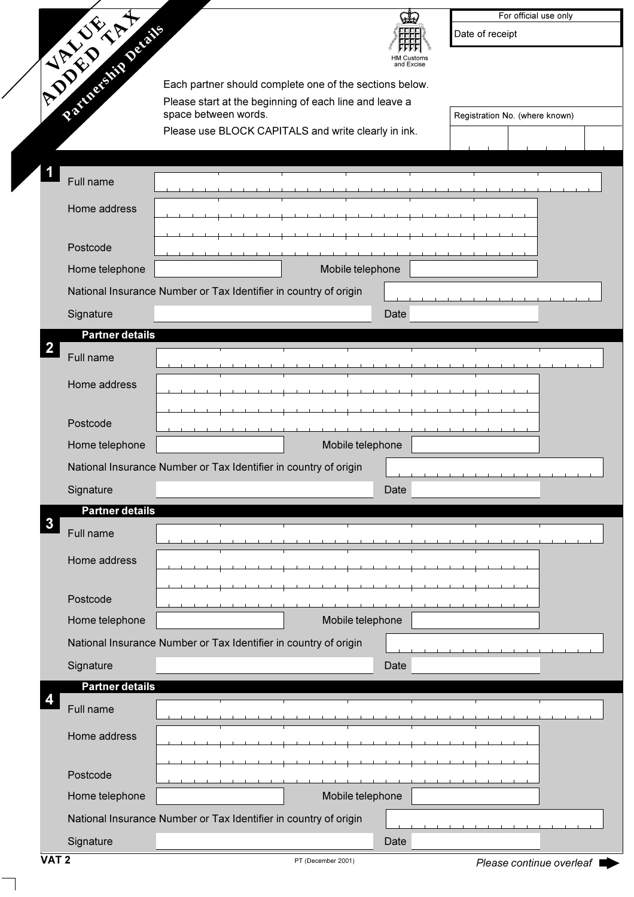| <b>CALIFORNIA</b>                    | For official use only<br>Date of receipt<br>⊣M Customs<br>and Excise |
|--------------------------------------|----------------------------------------------------------------------|
|                                      | Each partner should complete one of the sections below.              |
|                                      | Please start at the beginning of each line and leave a               |
|                                      | space between words.<br>Registration No. (where known)               |
|                                      | Please use BLOCK CAPITALS and write clearly in ink.                  |
|                                      |                                                                      |
| Full name                            |                                                                      |
| Home address                         |                                                                      |
|                                      |                                                                      |
| Postcode                             |                                                                      |
| Home telephone                       | Mobile telephone                                                     |
|                                      | National Insurance Number or Tax Identifier in country of origin     |
| Signature                            | Date                                                                 |
| <b>Partner details</b>               |                                                                      |
| $\overline{\mathbf{2}}$<br>Full name |                                                                      |
| Home address                         |                                                                      |
|                                      |                                                                      |
| Postcode                             |                                                                      |
| Home telephone                       | Mobile telephone                                                     |
|                                      | National Insurance Number or Tax Identifier in country of origin     |
| Signature                            | Date                                                                 |
| <b>Partner details</b>               |                                                                      |
| 3<br>Full name                       |                                                                      |
|                                      |                                                                      |
| Home address                         |                                                                      |
|                                      |                                                                      |
| Postcode                             |                                                                      |
| Home telephone                       | Mobile telephone                                                     |
|                                      | National Insurance Number or Tax Identifier in country of origin     |
| Signature                            | Date                                                                 |
| <b>Partner details</b>               |                                                                      |
| Full name                            |                                                                      |
| Home address                         |                                                                      |
|                                      |                                                                      |
| Postcode                             |                                                                      |
| Home telephone                       | Mobile telephone                                                     |
|                                      | National Insurance Number or Tax Identifier in country of origin     |
| Signature                            | Date                                                                 |

 $\overline{\phantom{0}}$ 

ь